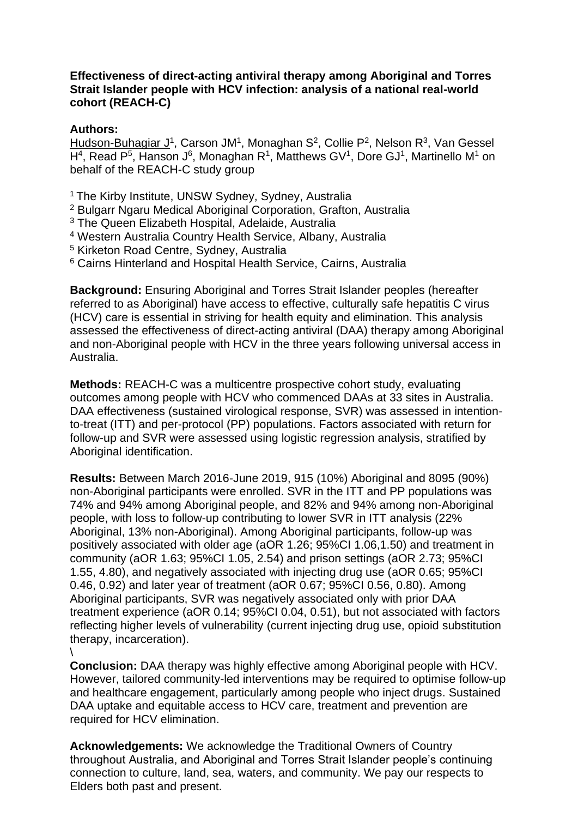## **Effectiveness of direct-acting antiviral therapy among Aboriginal and Torres Strait Islander people with HCV infection: analysis of a national real-world cohort (REACH-C)**

## **Authors:**

Hudson-Buhagiar J<sup>1</sup>, Carson JM<sup>1</sup>, Monaghan S<sup>2</sup>, Collie P<sup>2</sup>, Nelson R<sup>3</sup>, Van Gessel H<sup>4</sup>, Read P<sup>5</sup>, Hanson J<sup>6</sup>, Monaghan R<sup>1</sup>, Matthews GV<sup>1</sup>, Dore GJ<sup>1</sup>, Martinello M<sup>1</sup> on behalf of the REACH-C study group

- <sup>1</sup> The Kirby Institute, UNSW Sydney, Sydney, Australia
- <sup>2</sup> Bulgarr Ngaru Medical Aboriginal Corporation, Grafton, Australia
- <sup>3</sup> The Queen Elizabeth Hospital, Adelaide, Australia
- <sup>4</sup> Western Australia Country Health Service, Albany, Australia
- <sup>5</sup> Kirketon Road Centre, Sydney, Australia
- <sup>6</sup> Cairns Hinterland and Hospital Health Service, Cairns, Australia

**Background:** Ensuring Aboriginal and Torres Strait Islander peoples (hereafter referred to as Aboriginal) have access to effective, culturally safe hepatitis C virus (HCV) care is essential in striving for health equity and elimination. This analysis assessed the effectiveness of direct-acting antiviral (DAA) therapy among Aboriginal and non-Aboriginal people with HCV in the three years following universal access in Australia.

**Methods:** REACH-C was a multicentre prospective cohort study, evaluating outcomes among people with HCV who commenced DAAs at 33 sites in Australia. DAA effectiveness (sustained virological response, SVR) was assessed in intentionto-treat (ITT) and per-protocol (PP) populations. Factors associated with return for follow-up and SVR were assessed using logistic regression analysis, stratified by Aboriginal identification.

**Results:** Between March 2016-June 2019, 915 (10%) Aboriginal and 8095 (90%) non-Aboriginal participants were enrolled. SVR in the ITT and PP populations was 74% and 94% among Aboriginal people, and 82% and 94% among non-Aboriginal people, with loss to follow-up contributing to lower SVR in ITT analysis (22% Aboriginal, 13% non-Aboriginal). Among Aboriginal participants, follow-up was positively associated with older age (aOR 1.26; 95%CI 1.06,1.50) and treatment in community (aOR 1.63; 95%CI 1.05, 2.54) and prison settings (aOR 2.73; 95%CI 1.55, 4.80), and negatively associated with injecting drug use (aOR 0.65; 95%CI 0.46, 0.92) and later year of treatment (aOR 0.67; 95%CI 0.56, 0.80). Among Aboriginal participants, SVR was negatively associated only with prior DAA treatment experience (aOR 0.14; 95%CI 0.04, 0.51), but not associated with factors reflecting higher levels of vulnerability (current injecting drug use, opioid substitution therapy, incarceration).  $\lambda$ 

**Conclusion:** DAA therapy was highly effective among Aboriginal people with HCV. However, tailored community-led interventions may be required to optimise follow-up and healthcare engagement, particularly among people who inject drugs. Sustained DAA uptake and equitable access to HCV care, treatment and prevention are required for HCV elimination.

**Acknowledgements:** We acknowledge the Traditional Owners of Country throughout Australia, and Aboriginal and Torres Strait Islander people's continuing connection to culture, land, sea, waters, and community. We pay our respects to Elders both past and present.